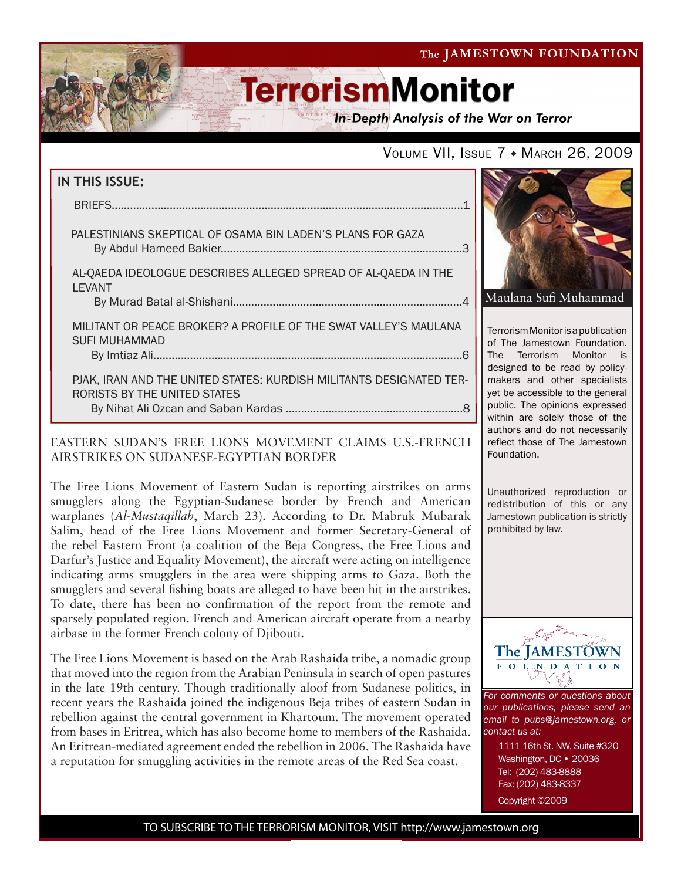The JAMESTOWN FOUNDATION

# **TerrorismMonitor**

**In-Depth Analysis of the War on Terror** 

### VOLUME VII, ISSUE 7 + MARCH 26, 2009

| IN THIS ISSUE:                                                                                            |
|-----------------------------------------------------------------------------------------------------------|
|                                                                                                           |
| PALESTINIANS SKEPTICAL OF OSAMA BIN LADEN'S PLANS FOR GAZA                                                |
| AL-QAEDA IDEOLOGUE DESCRIBES ALLEGED SPREAD OF AL-QAEDA IN THE<br>LEVANT                                  |
| MILITANT OR PEACE BROKER? A PROFILE OF THE SWAT VALLEY'S MAULANA<br><b>SUFI MUHAMMAD</b>                  |
| PJAK, IRAN AND THE UNITED STATES: KURDISH MILITANTS DESIGNATED TER-<br>RORISTS BY THE UNITED STATES<br>8. |

### EASTERN SUDAN'S FREE LIONS MOVEMENT CLAIMS U.S.-FRENCH AIRSTRIKES ON SUDANESE-EGYPTIAN BORDER

f

The Free Lions Movement of Eastern Sudan is reporting airstrikes on arms smugglers along the Egyptian-Sudanese border by French and American warplanes (*Al-Mustaqillah*, March 23). According to Dr. Mabruk Mubarak Salim, head of the Free Lions Movement and former Secretary-General of the rebel Eastern Front (a coalition of the Beja Congress, the Free Lions and Darfur's Justice and Equality Movement), the aircraft were acting on intelligence indicating arms smugglers in the area were shipping arms to Gaza. Both the smugglers and several fishing boats are alleged to have been hit in the airstrikes. To date, there has been no confirmation of the report from the remote and sparsely populated region. French and American aircraft operate from a nearby airbase in the former French colony of Djibouti.

The Free Lions Movement is based on the Arab Rashaida tribe, a nomadic group that moved into the region from the Arabian Peninsula in search of open pastures in the late 19th century. Though traditionally aloof from Sudanese politics, in recent years the Rashaida joined the indigenous Beja tribes of eastern Sudan in rebellion against the central government in Khartoum. The movement operated from bases in Eritrea, which has also become home to members of the Rashaida. An Eritrean-mediated agreement ended the rebellion in 2006. The Rashaida have a reputation for smuggling activities in the remote areas of the Red Sea coast.



Terrorism Monitor is a publication of The Jamestown Foundation. The Terrorism Monitor is designed to be read by policymakers and other specialists yet be accessible to the general public. The opinions expressed within are solely those of the authors and do not necessarily reflect those of The Jamestown Foundation.

Unauthorized reproduction or redistribution of this or any Jamestown publication is strictly prohibited by law.



*For comments or questions about our publications, please send an email to pubs@jamestown.org, or contact us at:* 

> 1111 16th St. NW, Suite #320 Washington, DC • 20036 Tel: (202) 483-8888 Fax: (202) 483-8337 Copyright ©2009

TO SUBSCRIBE TO THE TERRORISM MONITOR, VISIT http://www.jamestown.org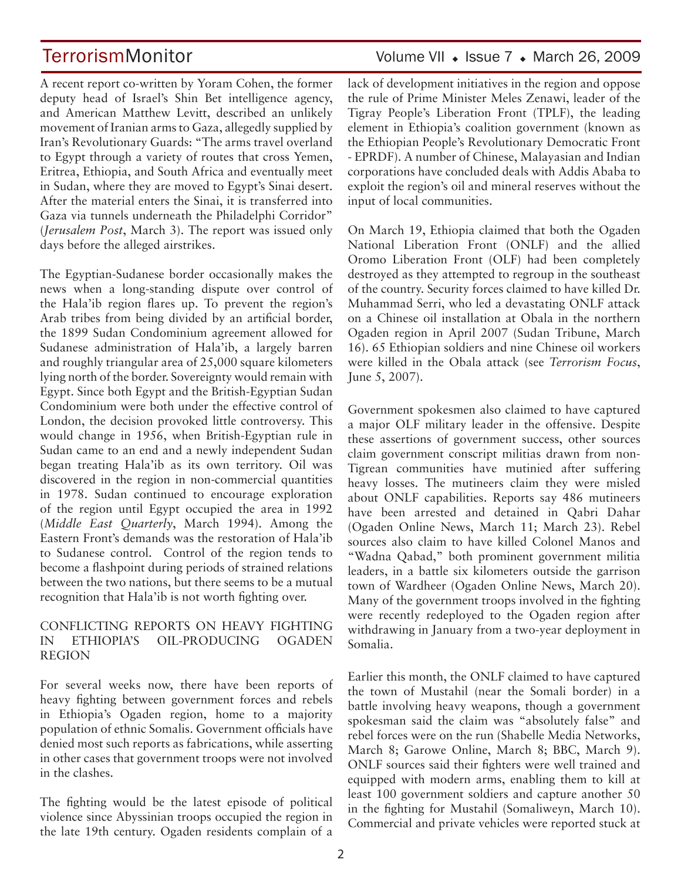A recent report co-written by Yoram Cohen, the former deputy head of Israel's Shin Bet intelligence agency, and American Matthew Levitt, described an unlikely movement of Iranian arms to Gaza, allegedly supplied by Iran's Revolutionary Guards: "The arms travel overland to Egypt through a variety of routes that cross Yemen, Eritrea, Ethiopia, and South Africa and eventually meet in Sudan, where they are moved to Egypt's Sinai desert. After the material enters the Sinai, it is transferred into

Gaza via tunnels underneath the Philadelphi Corridor" (*Jerusalem Post*, March 3). The report was issued only days before the alleged airstrikes.

The Egyptian-Sudanese border occasionally makes the news when a long-standing dispute over control of the Hala'ib region flares up. To prevent the region's Arab tribes from being divided by an artificial border, the 1899 Sudan Condominium agreement allowed for Sudanese administration of Hala'ib, a largely barren and roughly triangular area of 25,000 square kilometers lying north of the border. Sovereignty would remain with Egypt. Since both Egypt and the British-Egyptian Sudan Condominium were both under the effective control of London, the decision provoked little controversy. This would change in 1956, when British-Egyptian rule in Sudan came to an end and a newly independent Sudan began treating Hala'ib as its own territory. Oil was discovered in the region in non-commercial quantities in 1978. Sudan continued to encourage exploration of the region until Egypt occupied the area in 1992 (*Middle East Quarterly*, March 1994). Among the Eastern Front's demands was the restoration of Hala'ib to Sudanese control. Control of the region tends to become a flashpoint during periods of strained relations between the two nations, but there seems to be a mutual recognition that Hala'ib is not worth fighting over.

### CONFLICTING REPORTS ON HEAVY FIGHTING IN ETHIOPIA'S OIL-PRODUCING OGADEN REGION

For several weeks now, there have been reports of heavy fighting between government forces and rebels in Ethiopia's Ogaden region, home to a majority population of ethnic Somalis. Government officials have denied most such reports as fabrications, while asserting in other cases that government troops were not involved in the clashes.

The fighting would be the latest episode of political violence since Abyssinian troops occupied the region in the late 19th century. Ogaden residents complain of a lack of development initiatives in the region and oppose the rule of Prime Minister Meles Zenawi, leader of the Tigray People's Liberation Front (TPLF), the leading element in Ethiopia's coalition government (known as the Ethiopian People's Revolutionary Democratic Front - EPRDF). A number of Chinese, Malayasian and Indian corporations have concluded deals with Addis Ababa to exploit the region's oil and mineral reserves without the input of local communities.

On March 19, Ethiopia claimed that both the Ogaden National Liberation Front (ONLF) and the allied Oromo Liberation Front (OLF) had been completely destroyed as they attempted to regroup in the southeast of the country. Security forces claimed to have killed Dr. Muhammad Serri, who led a devastating ONLF attack on a Chinese oil installation at Obala in the northern Ogaden region in April 2007 (Sudan Tribune, March 16). 65 Ethiopian soldiers and nine Chinese oil workers were killed in the Obala attack (see *Terrorism Focus*, June 5, 2007).

Government spokesmen also claimed to have captured a major OLF military leader in the offensive. Despite these assertions of government success, other sources claim government conscript militias drawn from non-Tigrean communities have mutinied after suffering heavy losses. The mutineers claim they were misled about ONLF capabilities. Reports say 486 mutineers have been arrested and detained in Qabri Dahar (Ogaden Online News, March 11; March 23). Rebel sources also claim to have killed Colonel Manos and "Wadna Qabad," both prominent government militia leaders, in a battle six kilometers outside the garrison town of Wardheer (Ogaden Online News, March 20). Many of the government troops involved in the fighting were recently redeployed to the Ogaden region after withdrawing in January from a two-year deployment in Somalia.

Earlier this month, the ONLF claimed to have captured the town of Mustahil (near the Somali border) in a battle involving heavy weapons, though a government spokesman said the claim was "absolutely false" and rebel forces were on the run (Shabelle Media Networks, March 8; Garowe Online, March 8; BBC, March 9). ONLF sources said their fighters were well trained and equipped with modern arms, enabling them to kill at least 100 government soldiers and capture another 50 in the fighting for Mustahil (Somaliweyn, March 10). Commercial and private vehicles were reported stuck at

### TerrorismMonitor Volume VII + Issue 7 + March 26, 2009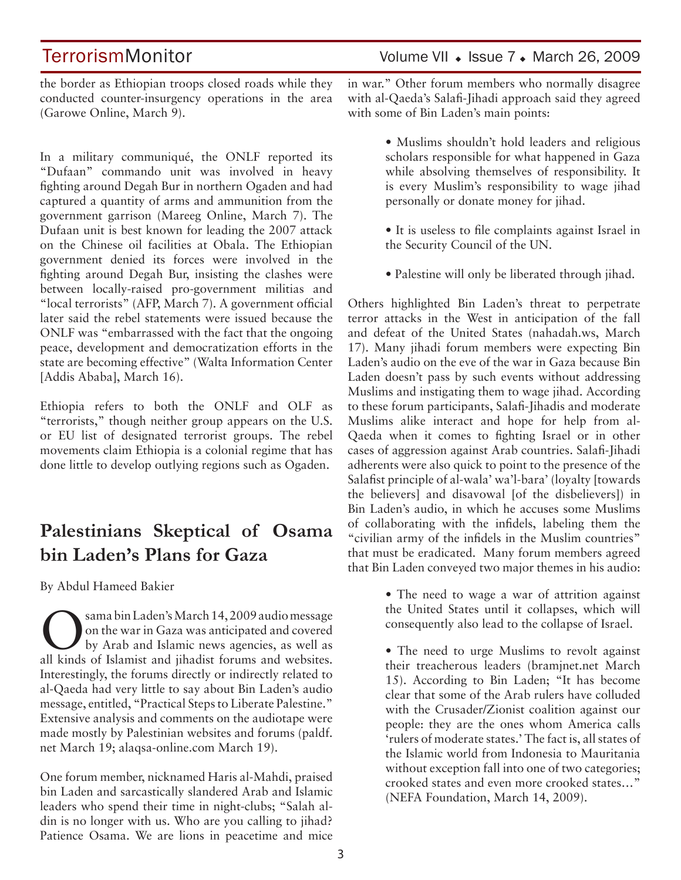TerrorismMonitor Volume VII • Issue 7 • March 26, 2009

the border as Ethiopian troops closed roads while they conducted counter-insurgency operations in the area (Garowe Online, March 9).

In a military communiqué, the ONLF reported its "Dufaan" commando unit was involved in heavy fighting around Degah Bur in northern Ogaden and had captured a quantity of arms and ammunition from the government garrison (Mareeg Online, March 7). The Dufaan unit is best known for leading the 2007 attack on the Chinese oil facilities at Obala. The Ethiopian government denied its forces were involved in the fighting around Degah Bur, insisting the clashes were between locally-raised pro-government militias and "local terrorists" (AFP, March 7). A government official later said the rebel statements were issued because the ONLF was "embarrassed with the fact that the ongoing peace, development and democratization efforts in the state are becoming effective" (Walta Information Center [Addis Ababa], March 16).

Ethiopia refers to both the ONLF and OLF as "terrorists," though neither group appears on the U.S. or EU list of designated terrorist groups. The rebel movements claim Ethiopia is a colonial regime that has done little to develop outlying regions such as Ogaden.

## **Palestinians Skeptical of Osama bin Laden's Plans for Gaza**

By Abdul Hameed Bakier

Sama bin Laden's March 14, 2009 audio message<br>On the war in Gaza was anticipated and covered<br>by Arab and Islamic news agencies, as well as on the war in Gaza was anticipated and covered by Arab and Islamic news agencies, as well as all kinds of Islamist and jihadist forums and websites. Interestingly, the forums directly or indirectly related to al-Qaeda had very little to say about Bin Laden's audio message, entitled, "Practical Steps to Liberate Palestine." Extensive analysis and comments on the audiotape were made mostly by Palestinian websites and forums (paldf. net March 19; alaqsa-online.com March 19).

One forum member, nicknamed Haris al-Mahdi, praised bin Laden and sarcastically slandered Arab and Islamic leaders who spend their time in night-clubs; "Salah aldin is no longer with us. Who are you calling to jihad? Patience Osama. We are lions in peacetime and mice

in war." Other forum members who normally disagree with al-Qaeda's Salafi-Jihadi approach said they agreed with some of Bin Laden's main points:

> • Muslims shouldn't hold leaders and religious scholars responsible for what happened in Gaza while absolving themselves of responsibility. It is every Muslim's responsibility to wage jihad personally or donate money for jihad.

- It is useless to file complaints against Israel in the Security Council of the UN.
- Palestine will only be liberated through jihad.

Others highlighted Bin Laden's threat to perpetrate terror attacks in the West in anticipation of the fall and defeat of the United States (nahadah.ws, March 17). Many jihadi forum members were expecting Bin Laden's audio on the eve of the war in Gaza because Bin Laden doesn't pass by such events without addressing Muslims and instigating them to wage jihad. According to these forum participants, Salafi-Jihadis and moderate Muslims alike interact and hope for help from al-Qaeda when it comes to fighting Israel or in other cases of aggression against Arab countries. Salafi-Jihadi adherents were also quick to point to the presence of the Salafist principle of al-wala' wa'l-bara' (loyalty [towards the believers] and disavowal [of the disbelievers]) in Bin Laden's audio, in which he accuses some Muslims of collaborating with the infidels, labeling them the "civilian army of the infidels in the Muslim countries" that must be eradicated. Many forum members agreed that Bin Laden conveyed two major themes in his audio:

> • The need to wage a war of attrition against the United States until it collapses, which will consequently also lead to the collapse of Israel.

> • The need to urge Muslims to revolt against their treacherous leaders (bramjnet.net March 15). According to Bin Laden; "It has become clear that some of the Arab rulers have colluded with the Crusader/Zionist coalition against our people: they are the ones whom America calls 'rulers of moderate states.' The fact is, all states of the Islamic world from Indonesia to Mauritania without exception fall into one of two categories; crooked states and even more crooked states…" (NEFA Foundation, March 14, 2009).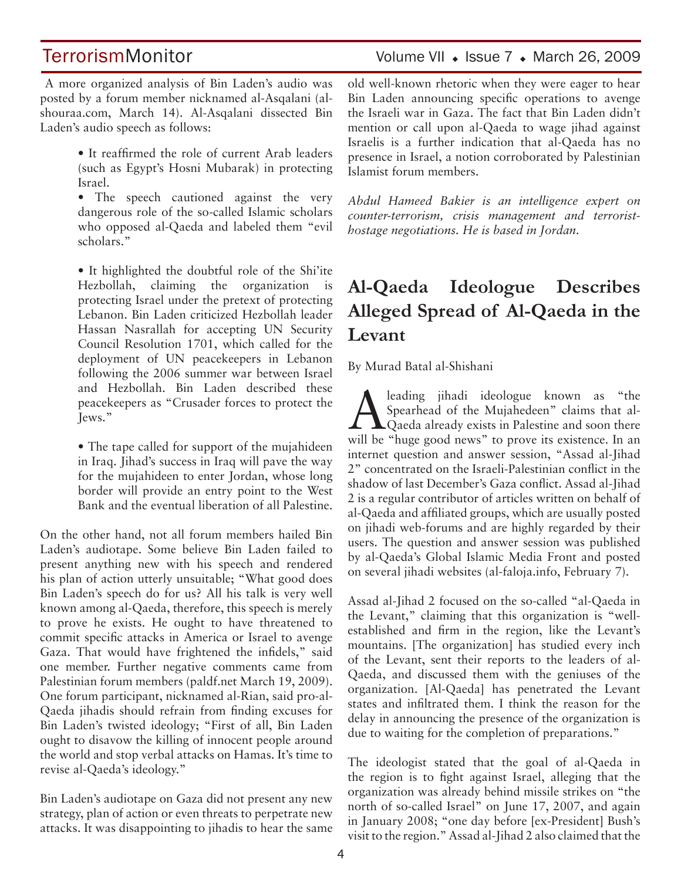## TerrorismMonitor Volume VII + Issue 7 + March 26, 2009

 A more organized analysis of Bin Laden's audio was posted by a forum member nicknamed al-Asqalani (alshouraa.com, March 14). Al-Asqalani dissected Bin Laden's audio speech as follows:

- It reaffirmed the role of current Arab leaders (such as Egypt's Hosni Mubarak) in protecting Israel.
- The speech cautioned against the very dangerous role of the so-called Islamic scholars who opposed al-Qaeda and labeled them "evil scholars."

• It highlighted the doubtful role of the Shi'ite Hezbollah, claiming the organization is protecting Israel under the pretext of protecting Lebanon. Bin Laden criticized Hezbollah leader Hassan Nasrallah for accepting UN Security Council Resolution 1701, which called for the deployment of UN peacekeepers in Lebanon following the 2006 summer war between Israel and Hezbollah. Bin Laden described these peacekeepers as "Crusader forces to protect the Jews."

• The tape called for support of the mujahideen in Iraq. Jihad's success in Iraq will pave the way for the mujahideen to enter Jordan, whose long border will provide an entry point to the West Bank and the eventual liberation of all Palestine.

On the other hand, not all forum members hailed Bin Laden's audiotape. Some believe Bin Laden failed to present anything new with his speech and rendered his plan of action utterly unsuitable; "What good does Bin Laden's speech do for us? All his talk is very well known among al-Qaeda, therefore, this speech is merely to prove he exists. He ought to have threatened to commit specific attacks in America or Israel to avenge Gaza. That would have frightened the infidels," said one member. Further negative comments came from Palestinian forum members (paldf.net March 19, 2009). One forum participant, nicknamed al-Rian, said pro-al-Qaeda jihadis should refrain from finding excuses for Bin Laden's twisted ideology; "First of all, Bin Laden ought to disavow the killing of innocent people around the world and stop verbal attacks on Hamas. It's time to revise al-Qaeda's ideology."

Bin Laden's audiotape on Gaza did not present any new strategy, plan of action or even threats to perpetrate new attacks. It was disappointing to jihadis to hear the same old well-known rhetoric when they were eager to hear Bin Laden announcing specific operations to avenge the Israeli war in Gaza. The fact that Bin Laden didn't mention or call upon al-Qaeda to wage jihad against Israelis is a further indication that al-Qaeda has no presence in Israel, a notion corroborated by Palestinian Islamist forum members.

*Abdul Hameed Bakier is an intelligence expert on counter-terrorism, crisis management and terroristhostage negotiations. He is based in Jordan.*

## **Al-Qaeda Ideologue Describes Alleged Spread of Al-Qaeda in the Levant**

By Murad Batal al-Shishani

A leading jihadi ideologue known as "the<br>Spearhead of the Mujahedeen" claims that al-<br>Qaeda already exists in Palestine and soon there Spearhead of the Mujahedeen" claims that al- $\triangle$   $\triangle$  Qaeda already exists in Palestine and soon there will be "huge good news" to prove its existence. In an internet question and answer session, "Assad al-Jihad 2" concentrated on the Israeli-Palestinian conflict in the shadow of last December's Gaza conflict. Assad al-Jihad 2 is a regular contributor of articles written on behalf of al-Qaeda and affiliated groups, which are usually posted on jihadi web-forums and are highly regarded by their users. The question and answer session was published by al-Qaeda's Global Islamic Media Front and posted on several jihadi websites (al-faloja.info, February 7).

Assad al-Jihad 2 focused on the so-called "al-Qaeda in the Levant," claiming that this organization is "wellestablished and firm in the region, like the Levant's mountains. [The organization] has studied every inch of the Levant, sent their reports to the leaders of al-Qaeda, and discussed them with the geniuses of the organization. [Al-Qaeda] has penetrated the Levant states and infiltrated them. I think the reason for the delay in announcing the presence of the organization is due to waiting for the completion of preparations."

The ideologist stated that the goal of al-Qaeda in the region is to fight against Israel, alleging that the organization was already behind missile strikes on "the north of so-called Israel" on June 17, 2007, and again in January 2008; "one day before [ex-President] Bush's visit to the region." Assad al-Jihad 2 also claimed that the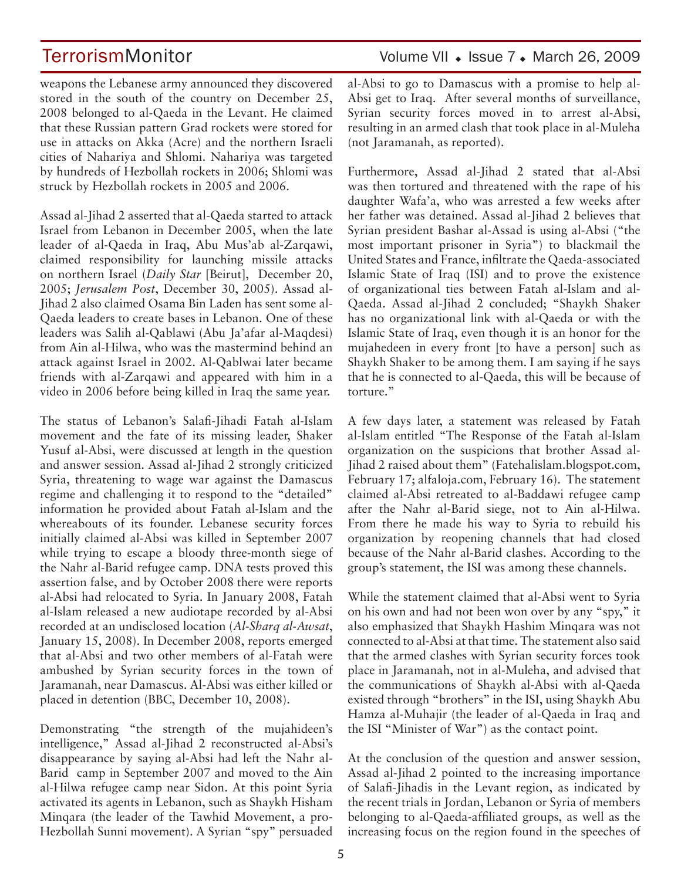weapons the Lebanese army announced they discovered stored in the south of the country on December 25, 2008 belonged to al-Qaeda in the Levant. He claimed that these Russian pattern Grad rockets were stored for use in attacks on Akka (Acre) and the northern Israeli cities of Nahariya and Shlomi. Nahariya was targeted by hundreds of Hezbollah rockets in 2006; Shlomi was struck by Hezbollah rockets in 2005 and 2006.

Assad al-Jihad 2 asserted that al-Qaeda started to attack Israel from Lebanon in December 2005, when the late leader of al-Qaeda in Iraq, Abu Mus'ab al-Zarqawi, claimed responsibility for launching missile attacks on northern Israel (*Daily Star* [Beirut], December 20, 2005; *Jerusalem Post*, December 30, 2005). Assad al-Jihad 2 also claimed Osama Bin Laden has sent some al-Qaeda leaders to create bases in Lebanon. One of these leaders was Salih al-Qablawi (Abu Ja'afar al-Maqdesi) from Ain al-Hilwa, who was the mastermind behind an attack against Israel in 2002. Al-Qablwai later became friends with al-Zarqawi and appeared with him in a video in 2006 before being killed in Iraq the same year.

The status of Lebanon's Salafi-Jihadi Fatah al-Islam movement and the fate of its missing leader, Shaker Yusuf al-Absi, were discussed at length in the question and answer session. Assad al-Jihad 2 strongly criticized Syria, threatening to wage war against the Damascus regime and challenging it to respond to the "detailed" information he provided about Fatah al-Islam and the whereabouts of its founder. Lebanese security forces initially claimed al-Absi was killed in September 2007 while trying to escape a bloody three-month siege of the Nahr al-Barid refugee camp. DNA tests proved this assertion false, and by October 2008 there were reports al-Absi had relocated to Syria. In January 2008, Fatah al-Islam released a new audiotape recorded by al-Absi recorded at an undisclosed location (*Al-Sharq al-Awsat*, January 15, 2008). In December 2008, reports emerged that al-Absi and two other members of al-Fatah were ambushed by Syrian security forces in the town of Jaramanah, near Damascus. Al-Absi was either killed or placed in detention (BBC, December 10, 2008).

Demonstrating "the strength of the mujahideen's intelligence," Assad al-Jihad 2 reconstructed al-Absi's disappearance by saying al-Absi had left the Nahr al-Barid camp in September 2007 and moved to the Ain al-Hilwa refugee camp near Sidon. At this point Syria activated its agents in Lebanon, such as Shaykh Hisham Minqara (the leader of the Tawhid Movement, a pro-Hezbollah Sunni movement). A Syrian "spy" persuaded

### al-Absi to go to Damascus with a promise to help al-Absi get to Iraq. After several months of surveillance, Syrian security forces moved in to arrest al-Absi, resulting in an armed clash that took place in al-Muleha (not Jaramanah, as reported).

Furthermore, Assad al-Jihad 2 stated that al-Absi was then tortured and threatened with the rape of his daughter Wafa'a, who was arrested a few weeks after her father was detained. Assad al-Jihad 2 believes that Syrian president Bashar al-Assad is using al-Absi ("the most important prisoner in Syria") to blackmail the United States and France, infiltrate the Qaeda-associated Islamic State of Iraq (ISI) and to prove the existence of organizational ties between Fatah al-Islam and al-Qaeda. Assad al-Jihad 2 concluded; "Shaykh Shaker has no organizational link with al-Qaeda or with the Islamic State of Iraq, even though it is an honor for the mujahedeen in every front [to have a person] such as Shaykh Shaker to be among them. I am saying if he says that he is connected to al-Qaeda, this will be because of torture."

A few days later, a statement was released by Fatah al-Islam entitled "The Response of the Fatah al-Islam organization on the suspicions that brother Assad al-Jihad 2 raised about them" (Fatehalislam.blogspot.com, February 17; alfaloja.com, February 16). The statement claimed al-Absi retreated to al-Baddawi refugee camp after the Nahr al-Barid siege, not to Ain al-Hilwa. From there he made his way to Syria to rebuild his organization by reopening channels that had closed because of the Nahr al-Barid clashes. According to the group's statement, the ISI was among these channels.

While the statement claimed that al-Absi went to Syria on his own and had not been won over by any "spy," it also emphasized that Shaykh Hashim Minqara was not connected to al-Absi at that time. The statement also said that the armed clashes with Syrian security forces took place in Jaramanah, not in al-Muleha, and advised that the communications of Shaykh al-Absi with al-Qaeda existed through "brothers" in the ISI, using Shaykh Abu Hamza al-Muhajir (the leader of al-Qaeda in Iraq and the ISI "Minister of War") as the contact point.

At the conclusion of the question and answer session, Assad al-Jihad 2 pointed to the increasing importance of Salafi-Jihadis in the Levant region, as indicated by the recent trials in Jordan, Lebanon or Syria of members belonging to al-Qaeda-affiliated groups, as well as the increasing focus on the region found in the speeches of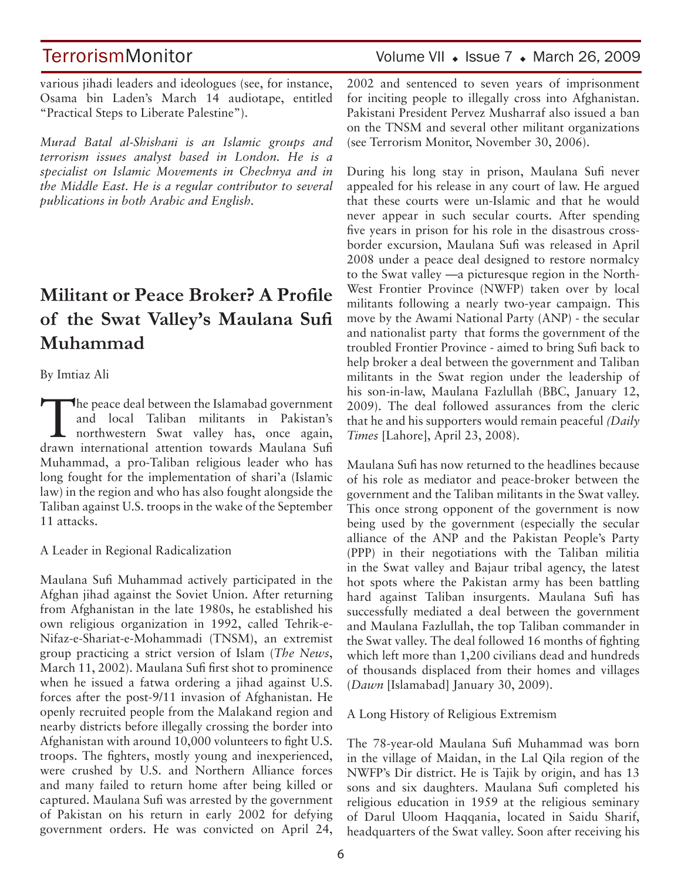various jihadi leaders and ideologues (see, for instance, Osama bin Laden's March 14 audiotape, entitled "Practical Steps to Liberate Palestine").

*Murad Batal al-Shishani is an Islamic groups and terrorism issues analyst based in London. He is a specialist on Islamic Movements in Chechnya and in the Middle East. He is a regular contributor to several publications in both Arabic and English.* 

## **Militant or Peace Broker? A Profile of the Swat Valley's Maulana Sufi Muhammad**

By Imtiaz Ali

The peace deal between the Islamabad government<br>and local Taliban militants in Pakistan's<br>northwestern Swat valley has, once again,<br>drawn international attention towards Maulane Sufi and local Taliban militants in Pakistan's northwestern Swat valley has, once again, drawn international attention towards Maulana Sufi Muhammad, a pro-Taliban religious leader who has long fought for the implementation of shari'a (Islamic law) in the region and who has also fought alongside the Taliban against U.S. troops in the wake of the September 11 attacks.

A Leader in Regional Radicalization

Maulana Sufi Muhammad actively participated in the Afghan jihad against the Soviet Union. After returning from Afghanistan in the late 1980s, he established his own religious organization in 1992, called Tehrik-e-Nifaz-e-Shariat-e-Mohammadi (TNSM), an extremist group practicing a strict version of Islam (*The News*, March 11, 2002). Maulana Sufi first shot to prominence when he issued a fatwa ordering a jihad against U.S. forces after the post-9/11 invasion of Afghanistan. He openly recruited people from the Malakand region and nearby districts before illegally crossing the border into Afghanistan with around 10,000 volunteers to fight U.S. troops. The fighters, mostly young and inexperienced, were crushed by U.S. and Northern Alliance forces and many failed to return home after being killed or captured. Maulana Sufi was arrested by the government of Pakistan on his return in early 2002 for defying government orders. He was convicted on April 24,

TerrorismMonitor Volume VII + Issue 7 + March 26, 2009

2002 and sentenced to seven years of imprisonment for inciting people to illegally cross into Afghanistan. Pakistani President Pervez Musharraf also issued a ban on the TNSM and several other militant organizations (see Terrorism Monitor, November 30, 2006).

During his long stay in prison, Maulana Sufi never appealed for his release in any court of law. He argued that these courts were un-Islamic and that he would never appear in such secular courts. After spending five years in prison for his role in the disastrous crossborder excursion, Maulana Sufi was released in April 2008 under a peace deal designed to restore normalcy to the Swat valley —a picturesque region in the North-West Frontier Province (NWFP) taken over by local militants following a nearly two-year campaign. This move by the Awami National Party (ANP) - the secular and nationalist party that forms the government of the troubled Frontier Province - aimed to bring Sufi back to help broker a deal between the government and Taliban militants in the Swat region under the leadership of his son-in-law, Maulana Fazlullah (BBC, January 12, 2009). The deal followed assurances from the cleric that he and his supporters would remain peaceful *(Daily Times* [Lahore], April 23, 2008).

Maulana Sufi has now returned to the headlines because of his role as mediator and peace-broker between the government and the Taliban militants in the Swat valley. This once strong opponent of the government is now being used by the government (especially the secular alliance of the ANP and the Pakistan People's Party (PPP) in their negotiations with the Taliban militia in the Swat valley and Bajaur tribal agency, the latest hot spots where the Pakistan army has been battling hard against Taliban insurgents. Maulana Sufi has successfully mediated a deal between the government and Maulana Fazlullah, the top Taliban commander in the Swat valley. The deal followed 16 months of fighting which left more than 1,200 civilians dead and hundreds of thousands displaced from their homes and villages (*Dawn* [Islamabad] January 30, 2009).

A Long History of Religious Extremism

The 78-year-old Maulana Sufi Muhammad was born in the village of Maidan, in the Lal Qila region of the NWFP's Dir district. He is Tajik by origin, and has 13 sons and six daughters. Maulana Sufi completed his religious education in 1959 at the religious seminary of Darul Uloom Haqqania, located in Saidu Sharif, headquarters of the Swat valley. Soon after receiving his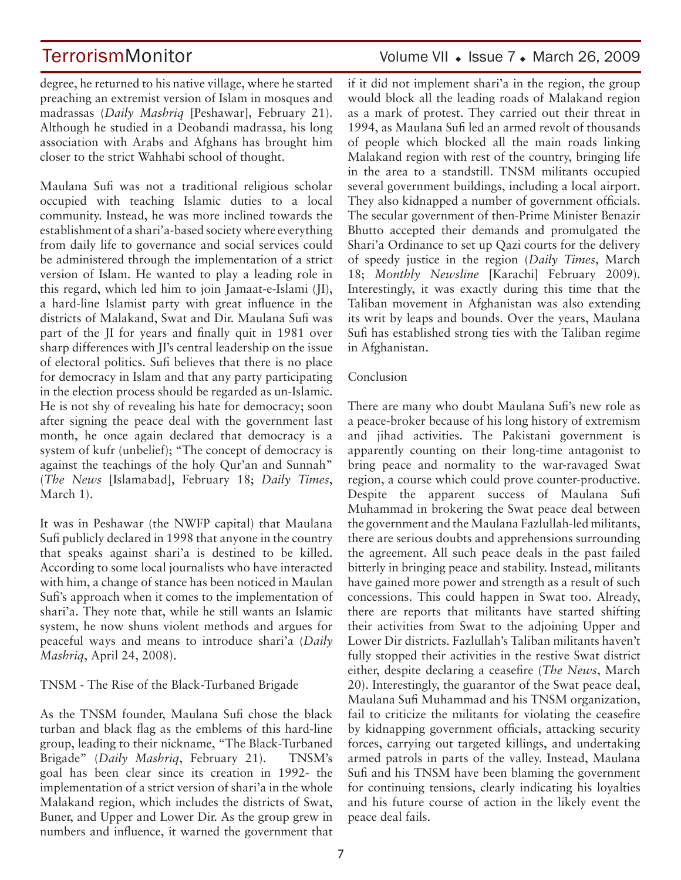degree, he returned to his native village, where he started preaching an extremist version of Islam in mosques and madrassas (*Daily Mashriq* [Peshawar], February 21). Although he studied in a Deobandi madrassa, his long association with Arabs and Afghans has brought him

Maulana Sufi was not a traditional religious scholar occupied with teaching Islamic duties to a local community. Instead, he was more inclined towards the establishment of a shari'a-based society where everything from daily life to governance and social services could be administered through the implementation of a strict version of Islam. He wanted to play a leading role in this regard, which led him to join Jamaat-e-Islami (JI), a hard-line Islamist party with great influence in the districts of Malakand, Swat and Dir. Maulana Sufi was part of the JI for years and finally quit in 1981 over sharp differences with JI's central leadership on the issue of electoral politics. Sufi believes that there is no place for democracy in Islam and that any party participating in the election process should be regarded as un-Islamic. He is not shy of revealing his hate for democracy; soon after signing the peace deal with the government last month, he once again declared that democracy is a system of kufr (unbelief); "The concept of democracy is against the teachings of the holy Qur'an and Sunnah" (*The News* [Islamabad], February 18; *Daily Times*, March 1).

closer to the strict Wahhabi school of thought.

It was in Peshawar (the NWFP capital) that Maulana Sufi publicly declared in 1998 that anyone in the country that speaks against shari'a is destined to be killed. According to some local journalists who have interacted with him, a change of stance has been noticed in Maulan Sufi's approach when it comes to the implementation of shari'a. They note that, while he still wants an Islamic system, he now shuns violent methods and argues for peaceful ways and means to introduce shari'a (*Daily Mashriq*, April 24, 2008).

### TNSM - The Rise of the Black-Turbaned Brigade

As the TNSM founder, Maulana Sufi chose the black turban and black flag as the emblems of this hard-line group, leading to their nickname, "The Black-Turbaned Brigade" (*Daily Mashriq*, February 21). TNSM's goal has been clear since its creation in 1992- the implementation of a strict version of shari'a in the whole Malakand region, which includes the districts of Swat, Buner, and Upper and Lower Dir. As the group grew in numbers and influence, it warned the government that if it did not implement shari'a in the region, the group would block all the leading roads of Malakand region as a mark of protest. They carried out their threat in 1994, as Maulana Sufi led an armed revolt of thousands of people which blocked all the main roads linking Malakand region with rest of the country, bringing life in the area to a standstill. TNSM militants occupied several government buildings, including a local airport. They also kidnapped a number of government officials. The secular government of then-Prime Minister Benazir Bhutto accepted their demands and promulgated the Shari'a Ordinance to set up Qazi courts for the delivery of speedy justice in the region (*Daily Times*, March 18; *Monthly Newsline* [Karachi] February 2009). Interestingly, it was exactly during this time that the Taliban movement in Afghanistan was also extending its writ by leaps and bounds. Over the years, Maulana Sufi has established strong ties with the Taliban regime in Afghanistan.

### Conclusion

There are many who doubt Maulana Sufi's new role as a peace-broker because of his long history of extremism and jihad activities. The Pakistani government is apparently counting on their long-time antagonist to bring peace and normality to the war-ravaged Swat region, a course which could prove counter-productive. Despite the apparent success of Maulana Sufi Muhammad in brokering the Swat peace deal between the government and the Maulana Fazlullah-led militants, there are serious doubts and apprehensions surrounding the agreement. All such peace deals in the past failed bitterly in bringing peace and stability. Instead, militants have gained more power and strength as a result of such concessions. This could happen in Swat too. Already, there are reports that militants have started shifting their activities from Swat to the adjoining Upper and Lower Dir districts. Fazlullah's Taliban militants haven't fully stopped their activities in the restive Swat district either, despite declaring a ceasefire (*The News*, March 20). Interestingly, the guarantor of the Swat peace deal, Maulana Sufi Muhammad and his TNSM organization, fail to criticize the militants for violating the ceasefire by kidnapping government officials, attacking security forces, carrying out targeted killings, and undertaking armed patrols in parts of the valley. Instead, Maulana Sufi and his TNSM have been blaming the government for continuing tensions, clearly indicating his loyalties and his future course of action in the likely event the peace deal fails.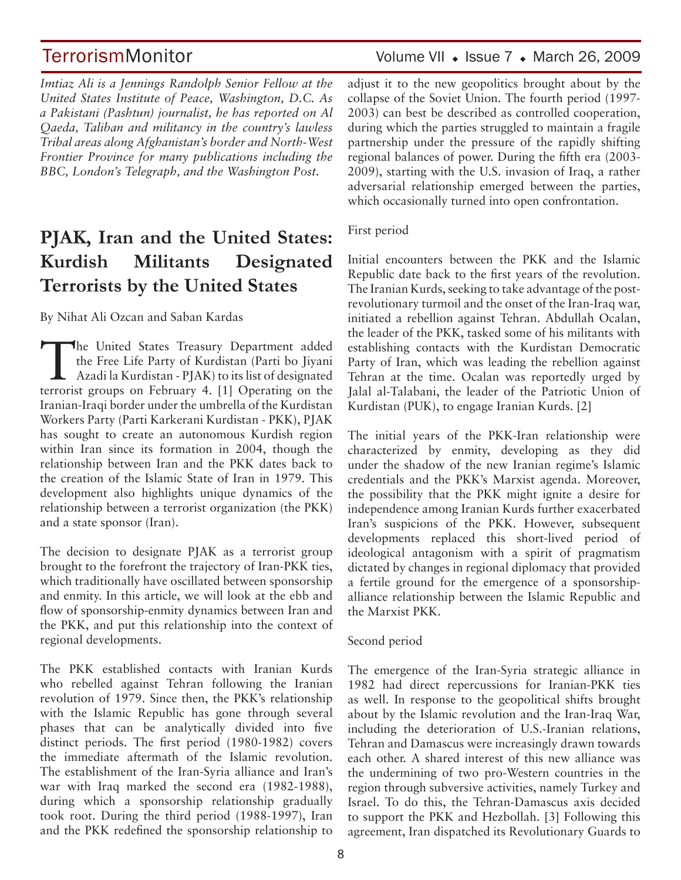TerrorismMonitor Volume VII + Issue 7 + March 26, 2009

*Imtiaz Ali is a Jennings Randolph Senior Fellow at the United States Institute of Peace, Washington, D.C. As a Pakistani (Pashtun) journalist, he has reported on Al Qaeda, Taliban and militancy in the country's lawless Tribal areas along Afghanistan's border and North-West Frontier Province for many publications including the BBC, London's Telegraph, and the Washington Post.*

## **PJAK, Iran and the United States: Kurdish Militants Designated Terrorists by the United States**

By Nihat Ali Ozcan and Saban Kardas

The United States Treasury Department added<br>
the Free Life Party of Kurdistan (Parti bo Jiyani<br>
Azadi la Kurdistan - PJAK) to its list of designated<br>
termoist crowns on February 4, [1] Operating on the the Free Life Party of Kurdistan (Parti bo Jiyani terrorist groups on February 4. [1] Operating on the Iranian-Iraqi border under the umbrella of the Kurdistan Workers Party (Parti Karkerani Kurdistan - PKK), PJAK has sought to create an autonomous Kurdish region within Iran since its formation in 2004, though the relationship between Iran and the PKK dates back to the creation of the Islamic State of Iran in 1979. This development also highlights unique dynamics of the relationship between a terrorist organization (the PKK) and a state sponsor (Iran).

The decision to designate PJAK as a terrorist group brought to the forefront the trajectory of Iran-PKK ties, which traditionally have oscillated between sponsorship and enmity. In this article, we will look at the ebb and flow of sponsorship-enmity dynamics between Iran and the PKK, and put this relationship into the context of regional developments.

The PKK established contacts with Iranian Kurds who rebelled against Tehran following the Iranian revolution of 1979. Since then, the PKK's relationship with the Islamic Republic has gone through several phases that can be analytically divided into five distinct periods. The first period (1980-1982) covers the immediate aftermath of the Islamic revolution. The establishment of the Iran-Syria alliance and Iran's war with Iraq marked the second era (1982-1988), during which a sponsorship relationship gradually took root. During the third period (1988-1997), Iran and the PKK redefined the sponsorship relationship to adjust it to the new geopolitics brought about by the collapse of the Soviet Union. The fourth period (1997- 2003) can best be described as controlled cooperation, during which the parties struggled to maintain a fragile partnership under the pressure of the rapidly shifting regional balances of power. During the fifth era (2003- 2009), starting with the U.S. invasion of Iraq, a rather adversarial relationship emerged between the parties, which occasionally turned into open confrontation.

First period

Initial encounters between the PKK and the Islamic Republic date back to the first years of the revolution. The Iranian Kurds, seeking to take advantage of the postrevolutionary turmoil and the onset of the Iran-Iraq war, initiated a rebellion against Tehran. Abdullah Ocalan, the leader of the PKK, tasked some of his militants with establishing contacts with the Kurdistan Democratic Party of Iran, which was leading the rebellion against Tehran at the time. Ocalan was reportedly urged by Jalal al-Talabani, the leader of the Patriotic Union of Kurdistan (PUK), to engage Iranian Kurds. [2]

The initial years of the PKK-Iran relationship were characterized by enmity, developing as they did under the shadow of the new Iranian regime's Islamic credentials and the PKK's Marxist agenda. Moreover, the possibility that the PKK might ignite a desire for independence among Iranian Kurds further exacerbated Iran's suspicions of the PKK. However, subsequent developments replaced this short-lived period of ideological antagonism with a spirit of pragmatism dictated by changes in regional diplomacy that provided a fertile ground for the emergence of a sponsorshipalliance relationship between the Islamic Republic and the Marxist PKK.

Second period

The emergence of the Iran-Syria strategic alliance in 1982 had direct repercussions for Iranian-PKK ties as well. In response to the geopolitical shifts brought about by the Islamic revolution and the Iran-Iraq War, including the deterioration of U.S.-Iranian relations, Tehran and Damascus were increasingly drawn towards each other. A shared interest of this new alliance was the undermining of two pro-Western countries in the region through subversive activities, namely Turkey and Israel. To do this, the Tehran-Damascus axis decided to support the PKK and Hezbollah. [3] Following this agreement, Iran dispatched its Revolutionary Guards to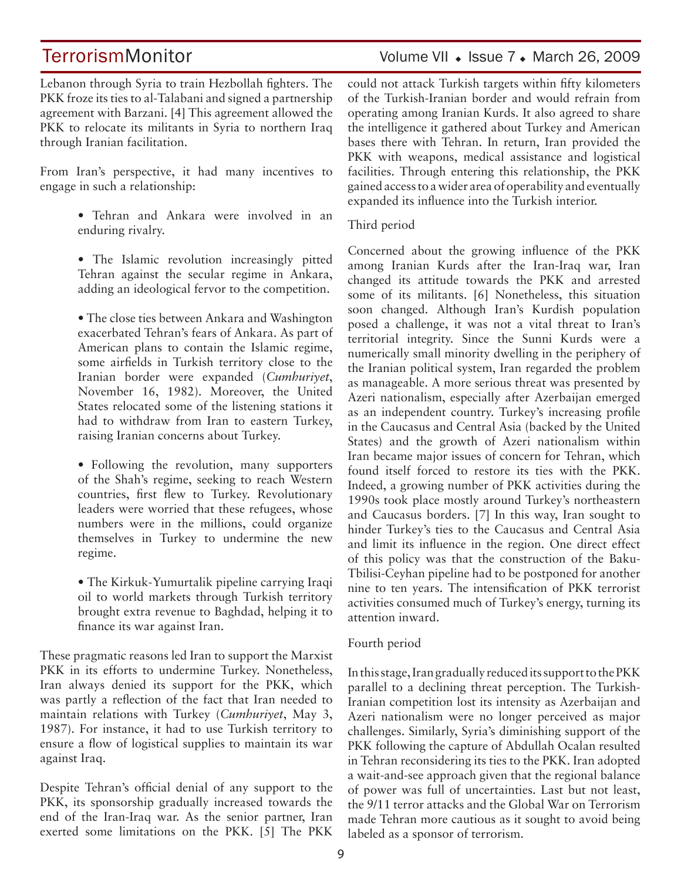### TerrorismMonitor Volume VII • Issue 7 • March 26, 2009

Lebanon through Syria to train Hezbollah fighters. The PKK froze its ties to al-Talabani and signed a partnership agreement with Barzani. [4] This agreement allowed the PKK to relocate its militants in Syria to northern Iraq through Iranian facilitation.

From Iran's perspective, it had many incentives to engage in such a relationship:

- Tehran and Ankara were involved in an enduring rivalry.
- The Islamic revolution increasingly pitted Tehran against the secular regime in Ankara, adding an ideological fervor to the competition.

• The close ties between Ankara and Washington exacerbated Tehran's fears of Ankara. As part of American plans to contain the Islamic regime, some airfields in Turkish territory close to the Iranian border were expanded (*Cumhuriyet*, November 16, 1982). Moreover, the United States relocated some of the listening stations it had to withdraw from Iran to eastern Turkey, raising Iranian concerns about Turkey.

• Following the revolution, many supporters of the Shah's regime, seeking to reach Western countries, first flew to Turkey. Revolutionary leaders were worried that these refugees, whose numbers were in the millions, could organize themselves in Turkey to undermine the new regime.

• The Kirkuk-Yumurtalik pipeline carrying Iraqi oil to world markets through Turkish territory brought extra revenue to Baghdad, helping it to finance its war against Iran.

These pragmatic reasons led Iran to support the Marxist PKK in its efforts to undermine Turkey. Nonetheless, Iran always denied its support for the PKK, which was partly a reflection of the fact that Iran needed to maintain relations with Turkey (*Cumhuriyet*, May 3, 1987). For instance, it had to use Turkish territory to ensure a flow of logistical supplies to maintain its war against Iraq.

Despite Tehran's official denial of any support to the PKK, its sponsorship gradually increased towards the end of the Iran-Iraq war. As the senior partner, Iran exerted some limitations on the PKK. [5] The PKK could not attack Turkish targets within fifty kilometers of the Turkish-Iranian border and would refrain from operating among Iranian Kurds. It also agreed to share the intelligence it gathered about Turkey and American bases there with Tehran. In return, Iran provided the PKK with weapons, medical assistance and logistical facilities. Through entering this relationship, the PKK gained access to a wider area of operability and eventually expanded its influence into the Turkish interior.

### Third period

Concerned about the growing influence of the PKK among Iranian Kurds after the Iran-Iraq war, Iran changed its attitude towards the PKK and arrested some of its militants. [6] Nonetheless, this situation soon changed. Although Iran's Kurdish population posed a challenge, it was not a vital threat to Iran's territorial integrity. Since the Sunni Kurds were a numerically small minority dwelling in the periphery of the Iranian political system, Iran regarded the problem as manageable. A more serious threat was presented by Azeri nationalism, especially after Azerbaijan emerged as an independent country. Turkey's increasing profile in the Caucasus and Central Asia (backed by the United States) and the growth of Azeri nationalism within Iran became major issues of concern for Tehran, which found itself forced to restore its ties with the PKK. Indeed, a growing number of PKK activities during the 1990s took place mostly around Turkey's northeastern and Caucasus borders. [7] In this way, Iran sought to hinder Turkey's ties to the Caucasus and Central Asia and limit its influence in the region. One direct effect of this policy was that the construction of the Baku-Tbilisi-Ceyhan pipeline had to be postponed for another nine to ten years. The intensification of PKK terrorist activities consumed much of Turkey's energy, turning its attention inward.

### Fourth period

In this stage, Iran gradually reduced its support to the PKK parallel to a declining threat perception. The Turkish-Iranian competition lost its intensity as Azerbaijan and Azeri nationalism were no longer perceived as major challenges. Similarly, Syria's diminishing support of the PKK following the capture of Abdullah Ocalan resulted in Tehran reconsidering its ties to the PKK. Iran adopted a wait-and-see approach given that the regional balance of power was full of uncertainties. Last but not least, the 9/11 terror attacks and the Global War on Terrorism made Tehran more cautious as it sought to avoid being labeled as a sponsor of terrorism.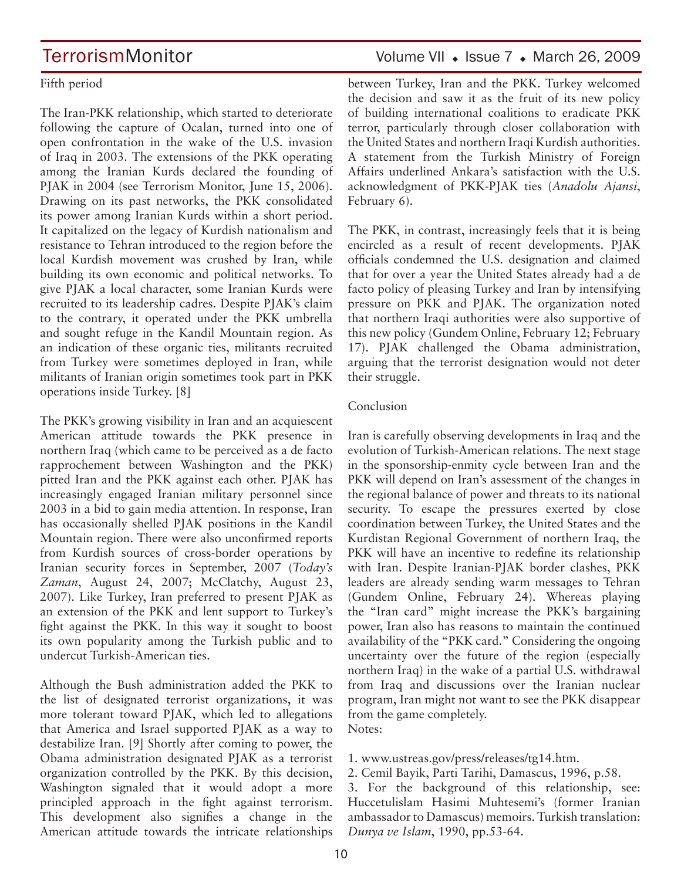## TerrorismMonitor Volume VII + Issue 7 + March 26, 2009

### Fifth period

The Iran-PKK relationship, which started to deteriorate following the capture of Ocalan, turned into one of open confrontation in the wake of the U.S. invasion of Iraq in 2003. The extensions of the PKK operating among the Iranian Kurds declared the founding of PJAK in 2004 (see Terrorism Monitor, June 15, 2006). Drawing on its past networks, the PKK consolidated its power among Iranian Kurds within a short period. It capitalized on the legacy of Kurdish nationalism and resistance to Tehran introduced to the region before the local Kurdish movement was crushed by Iran, while building its own economic and political networks. To give PJAK a local character, some Iranian Kurds were recruited to its leadership cadres. Despite PJAK's claim to the contrary, it operated under the PKK umbrella and sought refuge in the Kandil Mountain region. As an indication of these organic ties, militants recruited from Turkey were sometimes deployed in Iran, while militants of Iranian origin sometimes took part in PKK operations inside Turkey. [8]

The PKK's growing visibility in Iran and an acquiescent American attitude towards the PKK presence in northern Iraq (which came to be perceived as a de facto rapprochement between Washington and the PKK) pitted Iran and the PKK against each other. PJAK has increasingly engaged Iranian military personnel since 2003 in a bid to gain media attention. In response, Iran has occasionally shelled PJAK positions in the Kandil Mountain region. There were also unconfirmed reports from Kurdish sources of cross-border operations by Iranian security forces in September, 2007 (*Today's Zaman*, August 24, 2007; McClatchy, August 23, 2007). Like Turkey, Iran preferred to present PJAK as an extension of the PKK and lent support to Turkey's fight against the PKK. In this way it sought to boost its own popularity among the Turkish public and to undercut Turkish-American ties.

Although the Bush administration added the PKK to the list of designated terrorist organizations, it was more tolerant toward PJAK, which led to allegations that America and Israel supported PJAK as a way to destabilize Iran. [9] Shortly after coming to power, the Obama administration designated PJAK as a terrorist organization controlled by the PKK. By this decision, Washington signaled that it would adopt a more principled approach in the fight against terrorism. This development also signifies a change in the American attitude towards the intricate relationships between Turkey, Iran and the PKK. Turkey welcomed the decision and saw it as the fruit of its new policy of building international coalitions to eradicate PKK terror, particularly through closer collaboration with the United States and northern Iraqi Kurdish authorities. A statement from the Turkish Ministry of Foreign Affairs underlined Ankara's satisfaction with the U.S. acknowledgment of PKK-PJAK ties (*Anadolu Ajansi*, February 6).

The PKK, in contrast, increasingly feels that it is being encircled as a result of recent developments. PJAK officials condemned the U.S. designation and claimed that for over a year the United States already had a de facto policy of pleasing Turkey and Iran by intensifying pressure on PKK and PJAK. The organization noted that northern Iraqi authorities were also supportive of this new policy (Gundem Online, February 12; February 17). PJAK challenged the Obama administration, arguing that the terrorist designation would not deter their struggle.

### Conclusion

Iran is carefully observing developments in Iraq and the evolution of Turkish-American relations. The next stage in the sponsorship-enmity cycle between Iran and the PKK will depend on Iran's assessment of the changes in the regional balance of power and threats to its national security. To escape the pressures exerted by close coordination between Turkey, the United States and the Kurdistan Regional Government of northern Iraq, the PKK will have an incentive to redefine its relationship with Iran. Despite Iranian-PJAK border clashes, PKK leaders are already sending warm messages to Tehran (Gundem Online, February 24). Whereas playing the "Iran card" might increase the PKK's bargaining power, Iran also has reasons to maintain the continued availability of the "PKK card." Considering the ongoing uncertainty over the future of the region (especially northern Iraq) in the wake of a partial U.S. withdrawal from Iraq and discussions over the Iranian nuclear program, Iran might not want to see the PKK disappear from the game completely. Notes:

- 1. www.ustreas.gov/press/releases/tg14.htm.
- 2. Cemil Bayik, Parti Tarihi, Damascus, 1996, p.58.

3. For the background of this relationship, see: Huccetulislam Hasimi Muhtesemi's (former Iranian ambassador to Damascus) memoirs. Turkish translation: *Dunya ve Islam*, 1990, pp.53-64.